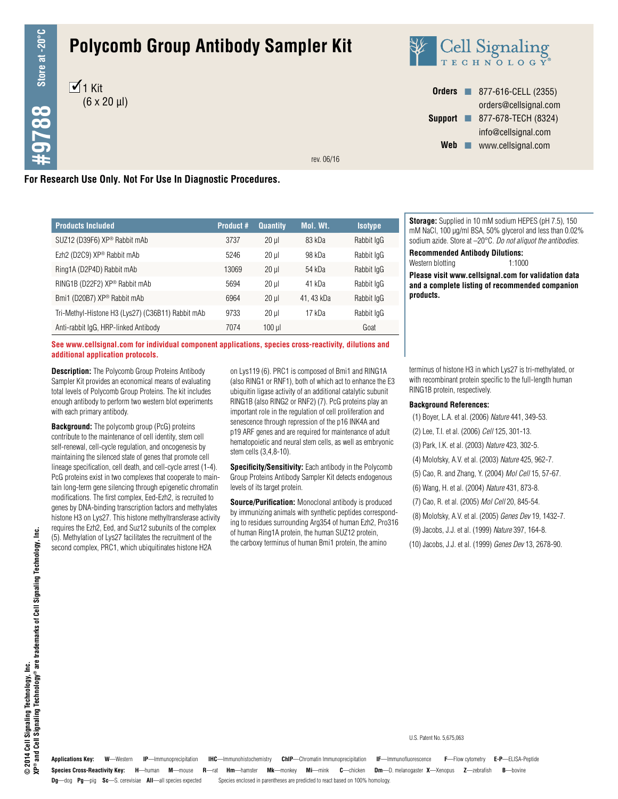# **Polycomb Group Antibody Sampler Kit**





**Orders n** 877-616-CELL (2355) orders@cellsignal.com **Support n** 877-678-TECH (8324) info@cellsignal.com Web www.cellsignal.com

rev. 06/16

# **For Research Use Only. Not For Use In Diagnostic Procedures.**

| <b>Products Included</b>                          | <b>Product #</b> | <b>Quantity</b> | Mol. Wt.  | <b>Isotype</b> |
|---------------------------------------------------|------------------|-----------------|-----------|----------------|
| SUZ12 (D39F6) XP® Rabbit mAb                      | 3737             | $20$ $\mu$      | 83 kDa    | Rabbit IgG     |
| Ezh2 (D2C9) XP <sup>®</sup> Rabbit mAb            | 5246             | $20$ ul         | 98 kDa    | Rabbit IgG     |
| Ring1A (D2P4D) Rabbit mAb                         | 13069            | $20$ $\mu$      | 54 kDa    | Rabbit IgG     |
| RING1B (D22F2) XP® Rabbit mAb                     | 5694             | $20$ ul         | $41$ kDa  | Rabbit IgG     |
| Bmi1 (D20B7) XP® Rabbit mAb                       | 6964             | $20$ $\mu$      | 41.43 kDa | Rabbit IgG     |
| Tri-Methyl-Histone H3 (Lys27) (C36B11) Rabbit mAb | 9733             | $20 \mu$        | 17 kDa    | Rabbit IgG     |
| Anti-rabbit IgG, HRP-linked Antibody              | 7074             | $100$ $\mu$     |           | Goat           |

**See www.cellsignal.com for individual component applications, species cross-reactivity, dilutions and additional application protocols.**

**Description:** The Polycomb Group Proteins Antibody Sampler Kit provides an economical means of evaluating total levels of Polycomb Group Proteins. The kit includes enough antibody to perform two western blot experiments with each primary antibody.

**Background:** The polycomb group (PcG) proteins contribute to the maintenance of cell identity, stem cell self-renewal, cell-cycle regulation, and oncogenesis by maintaining the silenced state of genes that promote cell lineage specification, cell death, and cell-cycle arrest (1-4). PcG proteins exist in two complexes that cooperate to maintain long-term gene silencing through epigenetic chromatin modifications. The first complex, Eed-Ezh2, is recruited to genes by DNA-binding transcription factors and methylates histone H3 on Lys27. This histone methyltransferase activity requires the Ezh2, Eed, and Suz12 subunits of the complex (5). Methylation of Lys27 facilitates the recruitment of the second complex, PRC1, which ubiquitinates histone H2A

on Lys119 (6). PRC1 is composed of Bmi1 and RING1A (also RING1 or RNF1), both of which act to enhance the E3 ubiquitin ligase activity of an additional catalytic subunit RING1B (also RING2 or RNF2) (7). PcG proteins play an important role in the regulation of cell proliferation and senescence through repression of the p16 INK4A and p19 ARF genes and are required for maintenance of adult hematopoietic and neural stem cells, as well as embryonic stem cells (3,4,8-10).

**Specificity/Sensitivity:** Each antibody in the Polycomb Group Proteins Antibody Sampler Kit detects endogenous levels of its target protein.

**Source/Purification:** Monoclonal antibody is produced by immunizing animals with synthetic peptides corresponding to residues surrounding Arg354 of human Ezh2, Pro316 of human Ring1A protein, the human SUZ12 protein, the carboxy terminus of human Bmi1 protein, the amino

**Storage:** Supplied in 10 mM sodium HEPES (pH 7.5), 150 mM NaCl, 100 µg/ml BSA, 50% glycerol and less than 0.02% sodium azide. Store at –20°C. *Do not aliquot the antibodies.*

**Recommended Antibody Dilutions:**

Western blotting 1:1000

**Please visit www.cellsignal.com for validation data and a complete listing of recommended companion products.**

terminus of histone H3 in which Lys27 is tri-methylated, or with recombinant protein specific to the full-length human RING1B protein, respectively.

#### **Background References:**

- (1) Boyer, L.A. et al. (2006) *Nature* 441, 349-53.
- (2) Lee, T.I. et al. (2006) *Cell* 125, 301-13.
- (3) Park, I.K. et al. (2003) *Nature* 423, 302-5.
- (4) Molofsky, A.V. et al. (2003) *Nature* 425, 962-7.
- (5) Cao, R. and Zhang, Y. (2004) *Mol Cell* 15, 57-67.
- (6) Wang, H. et al. (2004) *Nature* 431, 873-8.
- (7) Cao, R. et al. (2005) *Mol Cell* 20, 845-54.
- (8) Molofsky, A.V. et al. (2005) *Genes Dev* 19, 1432-7.
- (9) Jacobs, J.J. et al. (1999) *Nature* 397, 164-8.
- (10) Jacobs, J.J. et al. (1999) *Genes Dev* 13, 2678-90.

### **Species Cross-Reactivity Key: H**—human **M**—mouse **R**—rat **Hm**—hamster **Mk**—monkey **Mi**—mink **C**—chicken **Dm**—D. melanogaster **X**—Xenopus **Z**—zebrafish **B**—bovine **Dg**—dog **Pg**—pig **Sc**—S. cerevisiae **All**—all species expected Species enclosed in parentheses are predicted to react based on 100% homology. **Applications Key: W**—Western **IP**—Immunoprecipitation **IHC**—Immunohistochemistry **ChIP**—Chromatin Immunoprecipitation **IF**—Immunofluorescence **F**—Flow cytometry **E-P**—ELISA-Peptide